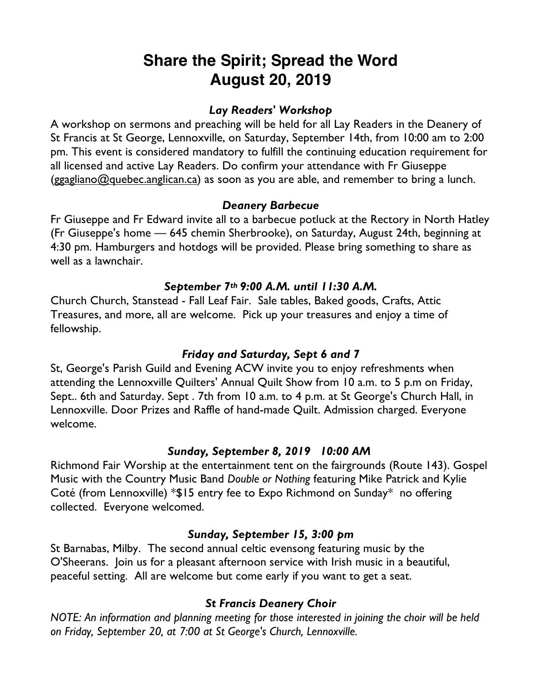# **Share the Spirit; Spread the Word August 20, 2019**

#### *Lay Readers' Workshop*

A workshop on sermons and preaching will be held for all Lay Readers in the Deanery of St Francis at St George, Lennoxville, on Saturday, September 14th, from 10:00 am to 2:00 pm. This event is considered mandatory to fulfill the continuing education requirement for all licensed and active Lay Readers. Do confirm your attendance with Fr Giuseppe (ggagliano@quebec.anglican.ca) as soon as you are able, and remember to bring a lunch.

#### *Deanery Barbecue*

Fr Giuseppe and Fr Edward invite all to a barbecue potluck at the Rectory in North Hatley (Fr Giuseppe's home — 645 chemin Sherbrooke), on Saturday, August 24th, beginning at 4:30 pm. Hamburgers and hotdogs will be provided. Please bring something to share as well as a lawnchair.

### *September 7th 9:00 A.M. until 11:30 A.M.*

Church Church, Stanstead - Fall Leaf Fair. Sale tables, Baked goods, Crafts, Attic Treasures, and more, all are welcome. Pick up your treasures and enjoy a time of fellowship.

#### *Friday and Saturday, Sept 6 and 7*

St, George's Parish Guild and Evening ACW invite you to enjoy refreshments when attending the Lennoxville Quilters' Annual Quilt Show from 10 a.m. to 5 p.m on Friday, Sept.. 6th and Saturday. Sept . 7th from 10 a.m. to 4 p.m. at St George's Church Hall, in Lennoxville. Door Prizes and Raffle of hand-made Quilt. Admission charged. Everyone welcome.

#### *Sunday, September 8, 2019 10:00 AM*

Richmond Fair Worship at the entertainment tent on the fairgrounds (Route 143). Gospel Music with the Country Music Band *Double or Nothing* featuring Mike Patrick and Kylie Coté (from Lennoxville) \*\$15 entry fee to Expo Richmond on Sunday\* no offering collected. Everyone welcomed.

#### *Sunday, September 15, 3:00 pm*

St Barnabas, Milby. The second annual celtic evensong featuring music by the O'Sheerans.Join us for a pleasant afternoon service with Irish music in a beautiful, peaceful setting. All are welcome but come early if you want to get a seat.

## *St Francis Deanery Choir*

*NOTE: An information and planning meeting for those interested in joining the choir will be held on Friday, September 20, at 7:00 at St George's Church, Lennoxville.*